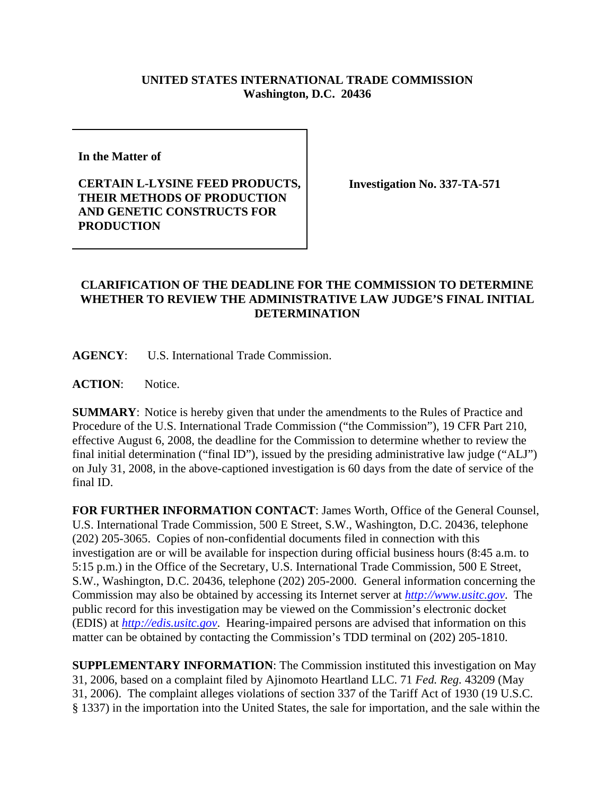## **UNITED STATES INTERNATIONAL TRADE COMMISSION Washington, D.C. 20436**

**In the Matter of** 

## **CERTAIN L-LYSINE FEED PRODUCTS, THEIR METHODS OF PRODUCTION AND GENETIC CONSTRUCTS FOR PRODUCTION**

**Investigation No. 337-TA-571**

## **CLARIFICATION OF THE DEADLINE FOR THE COMMISSION TO DETERMINE WHETHER TO REVIEW THE ADMINISTRATIVE LAW JUDGE'S FINAL INITIAL DETERMINATION**

**AGENCY**: U.S. International Trade Commission.

ACTION: Notice.

**SUMMARY**: Notice is hereby given that under the amendments to the Rules of Practice and Procedure of the U.S. International Trade Commission ("the Commission"), 19 CFR Part 210, effective August 6, 2008, the deadline for the Commission to determine whether to review the final initial determination ("final ID"), issued by the presiding administrative law judge ("ALJ") on July 31, 2008, in the above-captioned investigation is 60 days from the date of service of the final ID.

**FOR FURTHER INFORMATION CONTACT**: James Worth, Office of the General Counsel, U.S. International Trade Commission, 500 E Street, S.W., Washington, D.C. 20436, telephone (202) 205-3065. Copies of non-confidential documents filed in connection with this investigation are or will be available for inspection during official business hours (8:45 a.m. to 5:15 p.m.) in the Office of the Secretary, U.S. International Trade Commission, 500 E Street, S.W., Washington, D.C. 20436, telephone (202) 205-2000. General information concerning the Commission may also be obtained by accessing its Internet server at *http://www.usitc.gov*. The public record for this investigation may be viewed on the Commission's electronic docket (EDIS) at *http://edis.usitc.gov*. Hearing-impaired persons are advised that information on this matter can be obtained by contacting the Commission's TDD terminal on (202) 205-1810.

**SUPPLEMENTARY INFORMATION**: The Commission instituted this investigation on May 31, 2006, based on a complaint filed by Ajinomoto Heartland LLC. 71 *Fed. Reg.* 43209 (May 31, 2006). The complaint alleges violations of section 337 of the Tariff Act of 1930 (19 U.S.C. § 1337) in the importation into the United States, the sale for importation, and the sale within the